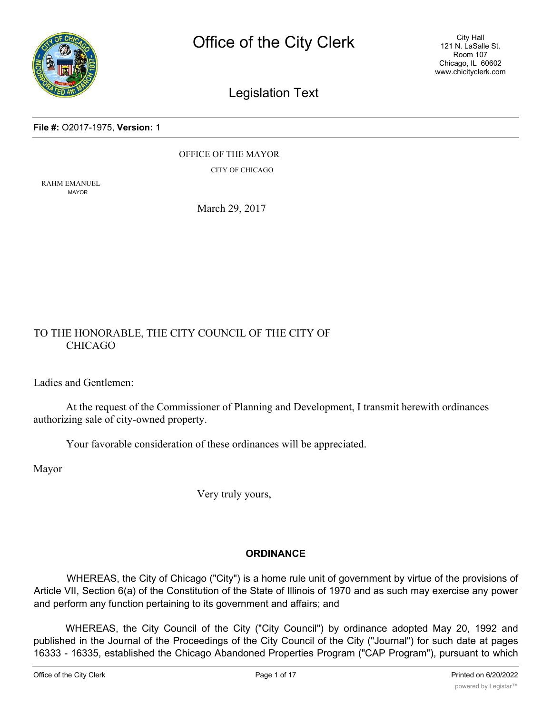

City Hall 121 N. LaSalle St. Room 107 Chicago, IL 60602 www.chicityclerk.com

# Legislation Text

## **File #:** O2017-1975, **Version:** 1

OFFICE OF THE MAYOR CITY OF CHICAGO

RAHM EMANUEL MAYOR

March 29, 2017

# TO THE HONORABLE, THE CITY COUNCIL OF THE CITY OF CHICAGO

Ladies and Gentlemen:

At the request of the Commissioner of Planning and Development, I transmit herewith ordinances authorizing sale of city-owned property.

Your favorable consideration of these ordinances will be appreciated.

Mayor

Very truly yours,

# **ORDINANCE**

WHEREAS, the City of Chicago ("City") is a home rule unit of government by virtue of the provisions of Article VII, Section 6(a) of the Constitution of the State of Illinois of 1970 and as such may exercise any power and perform any function pertaining to its government and affairs; and

WHEREAS, the City Council of the City ("City Council") by ordinance adopted May 20, 1992 and published in the Journal of the Proceedings of the City Council of the City ("Journal") for such date at pages 16333 - 16335, established the Chicago Abandoned Properties Program ("CAP Program"), pursuant to which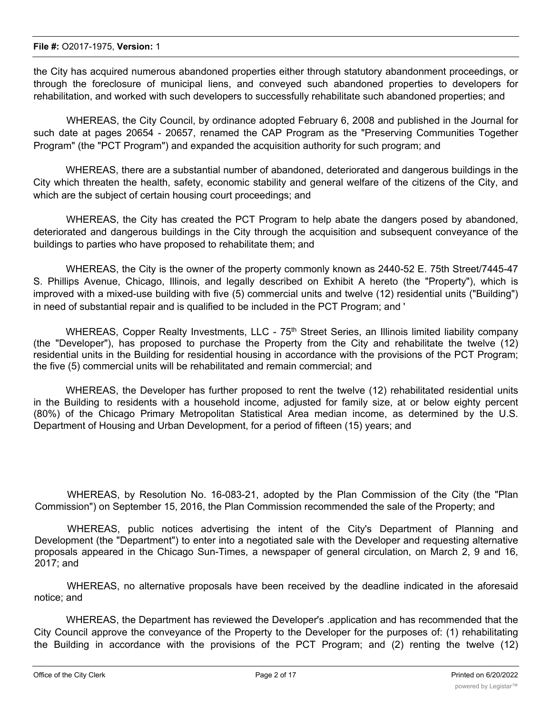the City has acquired numerous abandoned properties either through statutory abandonment proceedings, or through the foreclosure of municipal liens, and conveyed such abandoned properties to developers for rehabilitation, and worked with such developers to successfully rehabilitate such abandoned properties; and

WHEREAS, the City Council, by ordinance adopted February 6, 2008 and published in the Journal for such date at pages 20654 - 20657, renamed the CAP Program as the "Preserving Communities Together Program" (the "PCT Program") and expanded the acquisition authority for such program; and

WHEREAS, there are a substantial number of abandoned, deteriorated and dangerous buildings in the City which threaten the health, safety, economic stability and general welfare of the citizens of the City, and which are the subject of certain housing court proceedings; and

WHEREAS, the City has created the PCT Program to help abate the dangers posed by abandoned, deteriorated and dangerous buildings in the City through the acquisition and subsequent conveyance of the buildings to parties who have proposed to rehabilitate them; and

WHEREAS, the City is the owner of the property commonly known as 2440-52 E. 75th Street/7445-47 S. Phillips Avenue, Chicago, Illinois, and legally described on Exhibit A hereto (the "Property"), which is improved with a mixed-use building with five (5) commercial units and twelve (12) residential units ("Building") in need of substantial repair and is qualified to be included in the PCT Program; and '

WHEREAS, Copper Realty Investments, LLC - 75<sup>th</sup> Street Series, an Illinois limited liability company (the "Developer"), has proposed to purchase the Property from the City and rehabilitate the twelve (12) residential units in the Building for residential housing in accordance with the provisions of the PCT Program; the five (5) commercial units will be rehabilitated and remain commercial; and

WHEREAS, the Developer has further proposed to rent the twelve (12) rehabilitated residential units in the Building to residents with a household income, adjusted for family size, at or below eighty percent (80%) of the Chicago Primary Metropolitan Statistical Area median income, as determined by the U.S. Department of Housing and Urban Development, for a period of fifteen (15) years; and

WHEREAS, by Resolution No. 16-083-21, adopted by the Plan Commission of the City (the "Plan Commission") on September 15, 2016, the Plan Commission recommended the sale of the Property; and

WHEREAS, public notices advertising the intent of the City's Department of Planning and Development (the "Department") to enter into a negotiated sale with the Developer and requesting alternative proposals appeared in the Chicago Sun-Times, a newspaper of general circulation, on March 2, 9 and 16, 2017; and

WHEREAS, no alternative proposals have been received by the deadline indicated in the aforesaid notice; and

WHEREAS, the Department has reviewed the Developer's .application and has recommended that the City Council approve the conveyance of the Property to the Developer for the purposes of: (1) rehabilitating the Building in accordance with the provisions of the PCT Program; and (2) renting the twelve (12)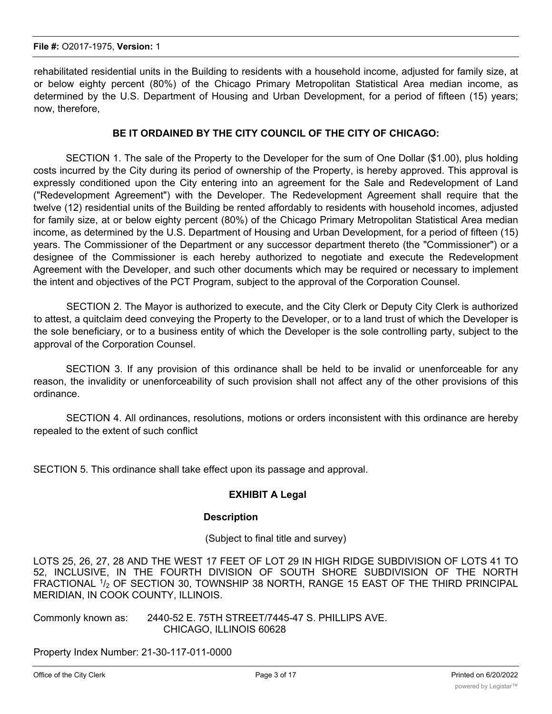rehabilitated residential units in the Building to residents with a household income, adjusted for family size, at or below eighty percent (80%) of the Chicago Primary Metropolitan Statistical Area median income, as determined by the U.S. Department of Housing and Urban Development, for a period of fifteen (15) years; now, therefore,

# **BE IT ORDAINED BY THE CITY COUNCIL OF THE CITY OF CHICAGO:**

SECTION 1. The sale of the Property to the Developer for the sum of One Dollar (\$1.00), plus holding costs incurred by the City during its period of ownership of the Property, is hereby approved. This approval is expressly conditioned upon the City entering into an agreement for the Sale and Redevelopment of Land ("Redevelopment Agreement") with the Developer. The Redevelopment Agreement shall require that the twelve (12) residential units of the Building be rented affordably to residents with household incomes, adjusted for family size, at or below eighty percent (80%) of the Chicago Primary Metropolitan Statistical Area median income, as determined by the U.S. Department of Housing and Urban Development, for a period of fifteen (15) years. The Commissioner of the Department or any successor department thereto (the "Commissioner") or a designee of the Commissioner is each hereby authorized to negotiate and execute the Redevelopment Agreement with the Developer, and such other documents which may be required or necessary to implement the intent and objectives of the PCT Program, subject to the approval of the Corporation Counsel.

SECTION 2. The Mayor is authorized to execute, and the City Clerk or Deputy City Clerk is authorized to attest, a quitclaim deed conveying the Property to the Developer, or to a land trust of which the Developer is the sole beneficiary, or to a business entity of which the Developer is the sole controlling party, subject to the approval of the Corporation Counsel.

SECTION 3. If any provision of this ordinance shall be held to be invalid or unenforceable for any reason, the invalidity or unenforceability of such provision shall not affect any of the other provisions of this ordinance.

SECTION 4. All ordinances, resolutions, motions or orders inconsistent with this ordinance are hereby repealed to the extent of such conflict

SECTION 5. This ordinance shall take effect upon its passage and approval.

# **EXHIBIT A Legal**

#### **Description**

(Subject to final title and survey)

LOTS 25, 26, 27, 28 AND THE WEST 17 FEET OF LOT 29 IN HIGH RIDGE SUBDIVISION OF LOTS 41 TO 52, INCLUSIVE, IN THE FOURTH DIVISION OF SOUTH SHORE SUBDIVISION OF THE NORTH FRACTIONAL  $1/2$  OF SECTION 30, TOWNSHIP 38 NORTH, RANGE 15 EAST OF THE THIRD PRINCIPAL MERIDIAN, IN COOK COUNTY, ILLINOIS.

Commonly known as: 2440-52 E. 75TH STREET/7445-47 S. PHILLIPS AVE. CHICAGO, ILLINOIS 60628

Property Index Number: 21-30-117-011-0000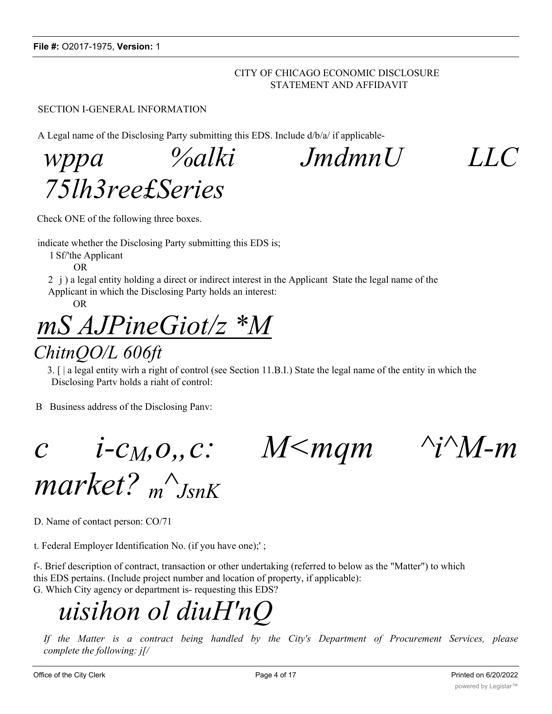# CITY OF CHICAGO ECONOMIC DISCLOSURE STATEMENT AND AFFIDAVIT

# SECTION I-GENERAL INFORMATION

A Legal name of the Disclosing Party submitting this EDS. Include d/b/a/ if applicable-

*wppa %alki JmdmnU LLC 75lh3ree£Series*

Check ONE of the following three boxes.

indicate whether the Disclosing Party submitting this EDS is;

1 Sf/'the Applicant

OR

2 j ) a legal entity holding a direct or indirect interest in the Applicant State the legal name of the Applicant in which the Disclosing Party holds an interest:

OR

*mS AJPineGiot/z \*M*

# *ChitnQO/L 606ft*

3. [ | a legal entity wirh a right of control (see Section 11.B.I.) State the legal name of the entity in which the Disclosing Partv holds a riaht of control:

B Business address of the Disclosing Panv:

*c i-c<sub>M</sub>*,*o*,*,c: M*<*mqm ^i^M-m* 

*market? <sup>m</sup> ^ JsnK*

D. Name of contact person: CO/71

t. Federal Employer Identification No. (if you have one);' ;

f-. Brief description of contract, transaction or other undertaking (referred to below as the "Matter") to which this EDS pertains. (Include project number and location of property, if applicable): G. Which City agency or department is- requesting this EDS?

# *uisihon ol diuH'nQ*

*If the Matter is a contract being handled by the City's Department of Procurement Services, please complete the following: j[/*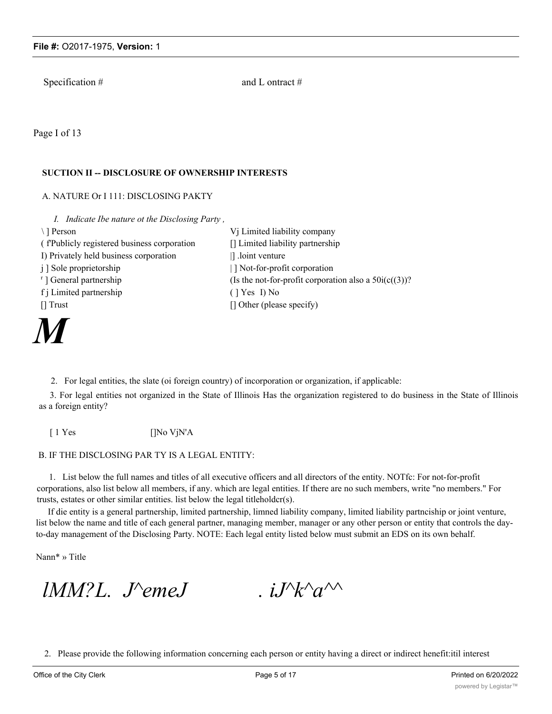Specification #  $\qquad \qquad \text{and } L \text{ ontract } \#$ 

Page I of 13

### **SUCTION II -- DISCLOSURE OF OWNERSHIP INTERESTS**

### A. NATURE Or I 111: DISCLOSING PAKTY

*I. Indicate Ibe nature ot the Disclosing Party ,*

\ ] Person Vj Limited liability company ( f'Publicly registered business corporation [] Limited liability partnership I) Privately held business corporation | loint venture j ] Sole proprietorship  $| ]$  Not-for-profit corporation <sup>r</sup>] General partnership (Is the not-for-profit corporation also a  $50i(c((3))$ ? f j Limited partnership ( ] Yes I) No [] Trust [] Other (please specify)

*M*

2. For legal entities, the slate (oi foreign country) of incorporation or organization, if applicable:

3. For legal entities not organized in the State of Illinois Has the organization registered to do business in the State of Illinois as a foreign entity?

[ 1 Yes []No VjN'A

#### B. IF THE DISCLOSING PAR TY IS A LEGAL ENTITY:

1. List below the full names and titles of all executive officers and all directors of the entity. NOTfc: For not-for-profit corporations, also list below all members, if any. which are legal entities. If there are no such members, write "no members." For trusts, estates or other similar entities. list below the legal titleholdcr(s).

If die entity is a general partnership, limited partnership, limned liability company, limited liability partnciship or joint venture, list below the name and title of each general partner, managing member, manager or any other person or entity that controls the dayto-day management of the Disclosing Party. NOTE: Each legal entity listed below must submit an EDS on its own behalf.

Nann\* » Title

*lMM?L. J*<sup> $\Diamond$ *emeJ* . *iJ*<sup> $\land$ </sup> $\land$ <sup> $\land$ </sup></sup>

2. Please provide the following information concerning each person or entity having a direct or indirect henefit:itil interest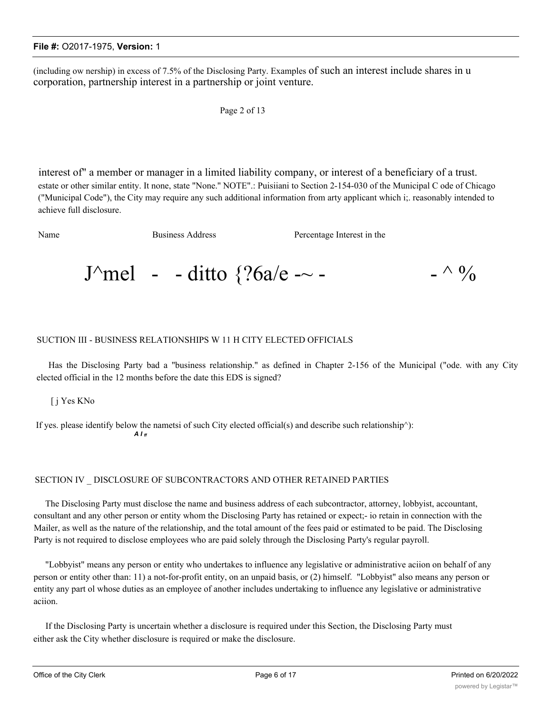(including ow nership) in excess of 7.5% of the Disclosing Party. Examples of such an interest include shares in u corporation, partnership interest in a partnership or joint venture.

```
Page 2 of 13
```
interest of" a member or manager in a limited liability company, or interest of a beneficiary of a trust. estate or other similar entity. It none, state "None.'' NOTE".: Puisiiani to Section 2-154-030 of the Municipal C ode of Chicago ("Municipal Code"), the City may require any such additional information from arty applicant which i;. reasonably intended to achieve full disclosure.

Name Business Address **Percentage Interest in the** 

J^mel - - ditto  $\frac{26a}{e}$  -~ - - ^ %

### SUCTION III - BUSINESS RELATIONSHIPS W 11 H CITY ELECTED OFFICIALS

Has the Disclosing Party bad a "business relationship." as defined in Chapter 2-156 of the Municipal ("ode. with any City elected official in the 12 months before the date this EDS is signed?

[ j Yes KNo

If yes. please identify below the nametsi of such City elected official(s) and describe such relationship^): *A I ff*

#### SECTION IV \_ DISCLOSURE OF SUBCONTRACTORS AND OTHER RETAINED PARTIES

The Disclosing Party must disclose the name and business address of each subcontractor, attorney, lobbyist, accountant, consultant and any other person or entity whom the Disclosing Party has retained or expect;- io retain in connection with the Mailer, as well as the nature of the relationship, and the total amount of the fees paid or estimated to be paid. The Disclosing Party is not required to disclose employees who are paid solely through the Disclosing Party's regular payroll.

"Lobbyist" means any person or entity who undertakes to influence any legislative or administrative aciion on behalf of any person or entity other than: 11) a not-for-profit entity, on an unpaid basis, or (2) himself. "Lobbyist" also means any person or entity any part ol whose duties as an employee of another includes undertaking to influence any legislative or administrative aciion.

If the Disclosing Party is uncertain whether a disclosure is required under this Section, the Disclosing Party must either ask the City whether disclosure is required or make the disclosure.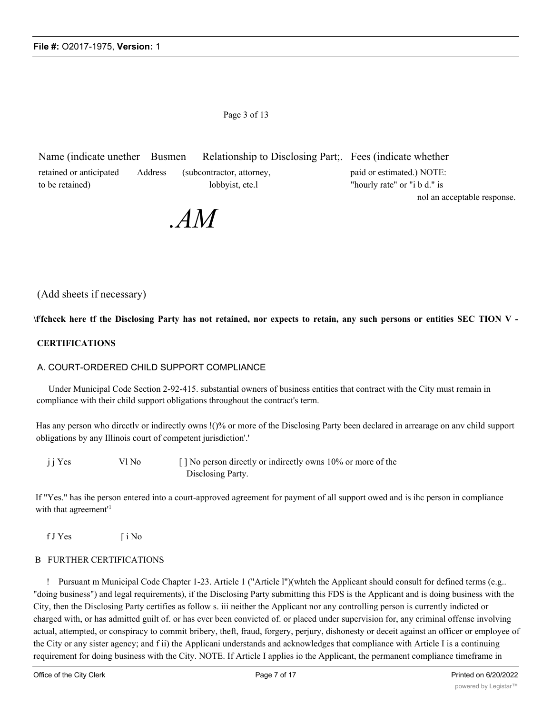Page 3 of 13

Name (indicate unether Busmen Relationship to Disclosing Part;. Fees (indicate whether retained or anticipated Address (subcontractor, attorney, paid or estimated.) NOTE: to be retained) lobbyist, ete.l "hourly rate" or "i b d." is nol an acceptable response.

*.AM*

# (Add sheets if necessary)

\ffchcck here tf the Disclosing Party has not retained, nor expects to retain, any such persons or entities SEC TION V -

#### **CERTIFICATIONS**

#### A. COURT-ORDERED CHILD SUPPORT COMPLIANCE

Under Municipal Code Section 2-92-415. substantial owners of business entities that contract with the City must remain in compliance with their child support obligations throughout the contract's term.

Has any person who dircctlv or indirectly owns !()% or more of the Disclosing Party been declared in arrearage on anv child support obligations by any Illinois court of competent jurisdiction'.'

| j j Yes | Vl No | [] No person directly or indirectly owns 10% or more of the |
|---------|-------|-------------------------------------------------------------|
|         |       | Disclosing Party.                                           |

If "Yes." has ihe person entered into a court-approved agreement for payment of all support owed and is ihc person in compliance with that agreement<sup>1</sup>

f J Yes [ i No

#### B FURTHER CERTIFICATIONS

! Pursuant m Municipal Code Chapter 1-23. Article 1 ("Article l")(whtch the Applicant should consult for defined terms (e.g.. "doing business") and legal requirements), if the Disclosing Party submitting this FDS is the Applicant and is doing business with the City, then the Disclosing Party certifies as follow s. iii neither the Applicant nor any controlling person is currently indicted or charged with, or has admitted guilt of. or has ever been convicted of. or placed under supervision for, any criminal offense involving actual, attempted, or conspiracy to commit bribery, theft, fraud, forgery, perjury, dishonesty or deceit against an officer or employee of the City or any sister agency; and f ii) the Applicani understands and acknowledges that compliance with Article I is a continuing requirement for doing business with the City. NOTE. If Article I applies io the Applicant, the permanent compliance timeframe in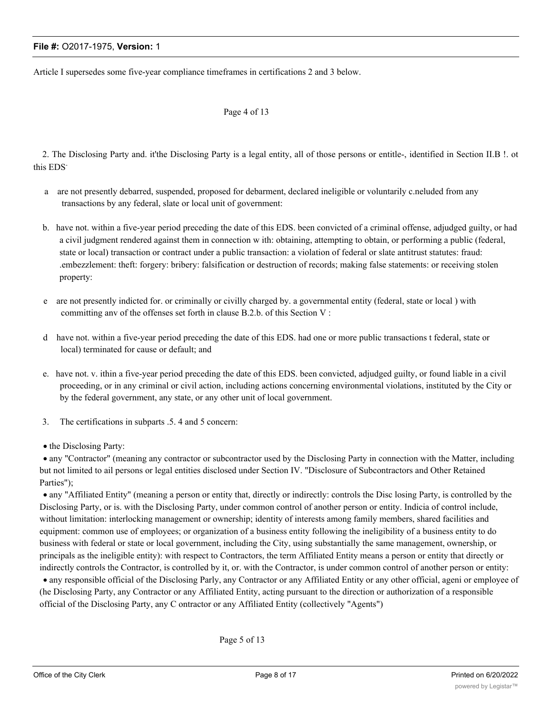Article I supersedes some five-year compliance timeframes in certifications 2 and 3 below.

#### Page 4 of 13

2. The Disclosing Party and. it'the Disclosing Party is a legal entity, all of those persons or entitle-, identified in Section II.B !. ot this EDS-

- a are not presently debarred, suspended, proposed for debarment, declared ineligible or voluntarily c.neluded from any transactions by any federal, slate or local unit of government:
- b. have not. within a five-year period preceding the date of this EDS. been convicted of a criminal offense, adjudged guilty, or had a civil judgment rendered against them in connection w ith: obtaining, attempting to obtain, or performing a public (federal, state or local) transaction or contract under a public transaction: a violation of federal or slate antitrust statutes: fraud: .embezzlement: theft: forgery: bribery: falsification or destruction of records; making false statements: or receiving stolen property:
- e are not presently indicted for. or criminally or civilly charged by. a governmental entity (federal, state or local ) with committing anv of the offenses set forth in clause B.2.b. of this Section V :
- d have not. within a five-year period preceding the date of this EDS. had one or more public transactions t federal, state or local) terminated for cause or default; and
- e. have not. v. ithin a five-year period preceding the date of this EDS. been convicted, adjudged guilty, or found liable in a civil proceeding, or in any criminal or civil action, including actions concerning environmental violations, instituted by the City or by the federal government, any state, or any other unit of local government.
- 3. The certifications in subparts .5. 4 and 5 concern:
- the Disclosing Party:

· any "Contractor" (meaning any contractor or subcontractor used by the Disclosing Party in connection with the Matter, including but not limited to ail persons or legal entities disclosed under Section IV. "Disclosure of Subcontractors and Other Retained Parties");

· any "Affiliated Entity" (meaning a person or entity that, directly or indirectly: controls the Disc losing Party, is controlled by the Disclosing Party, or is. with the Disclosing Party, under common control of another person or entity. Indicia of control include, without limitation: interlocking management or ownership; identity of interests among family members, shared facilities and equipment: common use of employees; or organization of a business entity following the ineligibility of a business entity to do business with federal or state or local government, including the City, using substantially the same management, ownership, or principals as the ineligible entity): with respect to Contractors, the term Affiliated Entity means a person or entity that directly or indirectly controls the Contractor, is controlled by it, or. with the Contractor, is under common control of another person or entity:

· any responsible official of the Disclosing Parly, any Contractor or any Affiliated Entity or any other official, ageni or employee of (he Disclosing Party, any Contractor or any Affiliated Entity, acting pursuant to the direction or authorization of a responsible official of the Disclosing Party, any C ontractor or any Affiliated Entity (collectively "Agents")

Page 5 of 13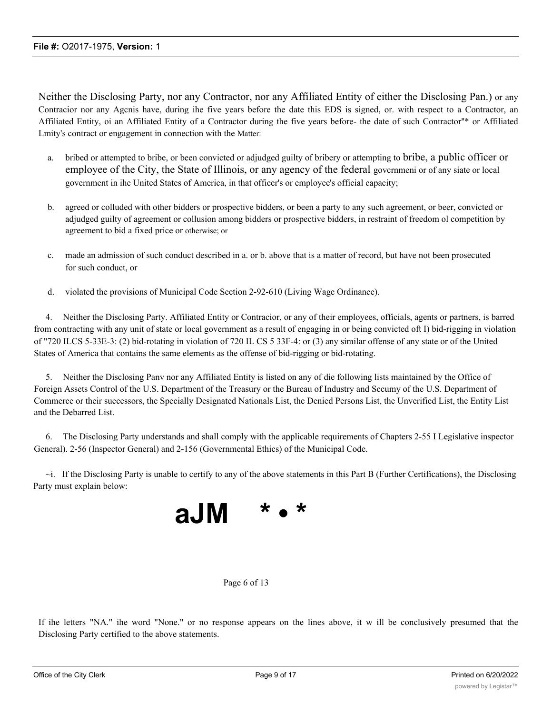Neither the Disclosing Party, nor any Contractor, nor any Affiliated Entity of either the Disclosing Pan.) or any Contracior nor any Agcnis have, during ihe five years before the date this EDS is signed, or. with respect to a Contractor, an Affiliated Entity, oi an Affiliated Entity of a Contractor during the five years before- the date of such Contractor''\* or Affiliated Lmity's contract or engagement in connection with the Matter:

- a. bribed or attempted to bribe, or been convicted or adjudged guilty of bribery or attempting to bribe, a public officer or employee of the City, the State of Illinois, or any agency of the federal govcrnmeni or of any siate or local government in ihe United States of America, in that officer's or employee's official capacity;
- b. agreed or colluded with other bidders or prospective bidders, or been a party to any such agreement, or beer, convicted or adjudged guilty of agreement or collusion among bidders or prospective bidders, in restraint of freedom ol competition by agreement to bid a fixed price or otherwise; or
- c. made an admission of such conduct described in a. or b. above that is a matter of record, but have not been prosecuted for such conduct, or
- d. violated the provisions of Municipal Code Section 2-92-610 (Living Wage Ordinance).

4. Neither the Disclosing Party. Affiliated Entity or Contracior, or any of their employees, officials, agents or partners, is barred from contracting with any unit of state or local government as a result of engaging in or being convicted oft I) bid-rigging in violation of "720 ILCS 5-33E-3: (2) bid-rotating in violation of 720 IL CS 5 33F-4: or (3) any similar offense of any state or of the United States of America that contains the same elements as the offense of bid-rigging or bid-rotating.

5. Neither the Disclosing Panv nor any Affiliated Entity is listed on any of die following lists maintained by the Office of Foreign Assets Control of the U.S. Department of the Treasury or the Bureau of Industry and Sccumy of the U.S. Department of Commerce or their successors, the Specially Designated Nationals List, the Denied Persons List, the Unverified List, the Entity List and the Debarred List.

6. The Disclosing Party understands and shall comply with the applicable requirements of Chapters 2-55 I Legislative inspector General). 2-56 (Inspector General) and 2-156 (Governmental Ethics) of the Municipal Code.

 $\sim$ i. If the Disclosing Party is unable to certify to any of the above statements in this Part B (Further Certifications), the Disclosing Party must explain below:



#### Page 6 of 13

If ihe letters "NA." ihe word "None." or no response appears on the lines above, it w ill be conclusively presumed that the Disclosing Party certified to the above statements.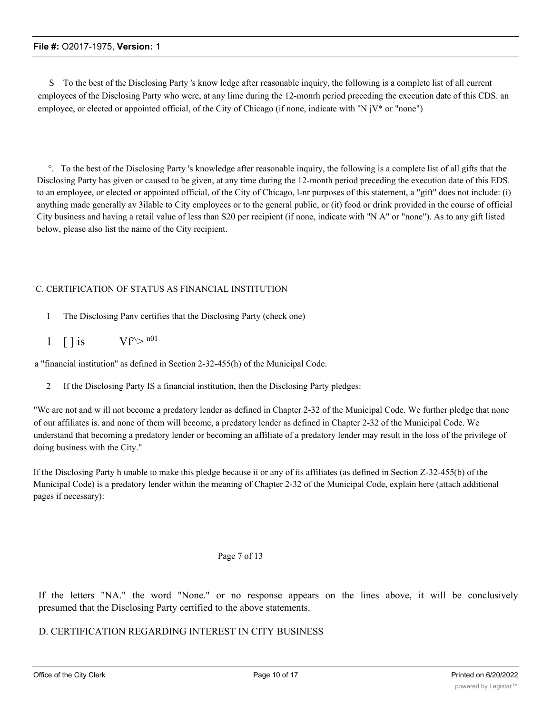S To the best of the Disclosing Party 's know ledge after reasonable inquiry, the following is a complete list of all current employees of the Disclosing Party who were, at any lime during the 12-monrh period preceding the execution date of this CDS. an employee, or elected or appointed official, of the City of Chicago (if none, indicate with ''N jV\* or "none")

°. To the best of the Disclosing Party 's knowledge after reasonable inquiry, the following is a complete list of all gifts that the Disclosing Party has given or caused to be given, at any time during the 12-month period preceding the execution date of this EDS. to an employee, or elected or appointed official, of the City of Chicago, l-nr purposes of this statement, a "gift" does not include: (i) anything made generally av 3ilable to City employees or to the general public, or (it) food or drink provided in the course of official City business and having a retail value of less than S20 per recipient (if none, indicate with "N A" or "none"). As to any gift listed below, please also list the name of the City recipient.

# C. CERTIFICATION OF STATUS AS FINANCIAL INSTITUTION

- 1 The Disclosing Panv certifies that the Disclosing Party (check one)
- 1 [ ] is  $Vf^{\wedge} > n01$

a "financial institution'' as defined in Section 2-32-455(h) of the Municipal Code.

2 If the Disclosing Party IS a financial institution, then the Disclosing Party pledges:

"Wc are not and w ill not become a predatory lender as defined in Chapter 2-32 of the Municipal Code. We further pledge that none of our affiliates is. and none of them will become, a predatory lender as defined in Chapter 2-32 of the Municipal Code. We understand that becoming a predatory lender or becoming an affiliate of a predatory lender may result in the loss of the privilege of doing business with the City."

If the Disclosing Party h unable to make this pledge because ii or any of iis affiliates (as defined in Section Z-32-455(b) of the Municipal Code) is a predatory lender within the meaning of Chapter 2-32 of the Municipal Code, explain here (attach additional pages if necessary):

# Page 7 of 13

If the letters "NA." the word "None." or no response appears on the lines above, it will be conclusively presumed that the Disclosing Party certified to the above statements.

# D. CERTIFICATION REGARDING INTEREST IN CITY BUSINESS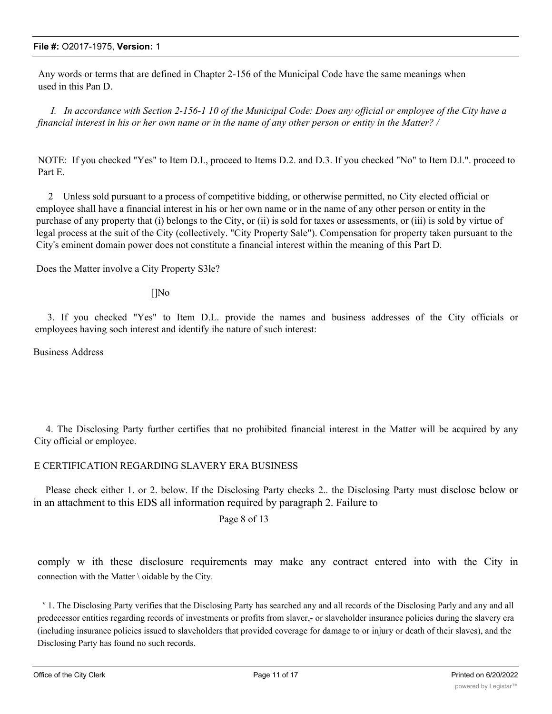Any words or terms that are defined in Chapter 2-156 of the Municipal Code have the same meanings when used in this Pan D.

*I. In accordance with Section 2-156-1 10 of the Municipal Code: Does any official or employee of the City have a financial interest in his or her own name or in the name of any other person or entity in the Matter? /*

NOTE: If you checked "Yes" to Item D.I., proceed to Items D.2. and D.3. If you checked "No" to Item D.l.". proceed to Part E.

2 Unless sold pursuant to a process of competitive bidding, or otherwise permitted, no City elected official or employee shall have a financial interest in his or her own name or in the name of any other person or entity in the purchase of any property that (i) belongs to the City, or (ii) is sold for taxes or assessments, or (iii) is sold by virtue of legal process at the suit of the City (collectively. "City Property Sale"). Compensation for property taken pursuant to the City's eminent domain power does not constitute a financial interest within the meaning of this Part D.

Does the Matter involve a City Property S3le?

[]No

3. If you checked "Yes" to Item D.L. provide the names and business addresses of the City officials or employees having soch interest and identify ihe nature of such interest:

Business Address

4. The Disclosing Party further certifies that no prohibited financial interest in the Matter will be acquired by any City official or employee.

# E CERTIFICATION REGARDING SLAVERY ERA BUSINESS

Please check either 1. or 2. below. If the Disclosing Party checks 2.. the Disclosing Party must disclose below or in an attachment to this EDS all information required by paragraph 2. Failure to

Page 8 of 13

comply w ith these disclosure requirements may make any contract entered into with the City in connection with the Matter \ oidable by the City.

v 1. The Disclosing Party verifies that the Disclosing Party has searched any and all records of the Disclosing Parly and any and all predecessor entities regarding records of investments or profits from slaver,- or slaveholder insurance policies during the slavery era (including insurance policies issued to slaveholders that provided coverage for damage to or injury or death of their slaves), and the Disclosing Party has found no such records.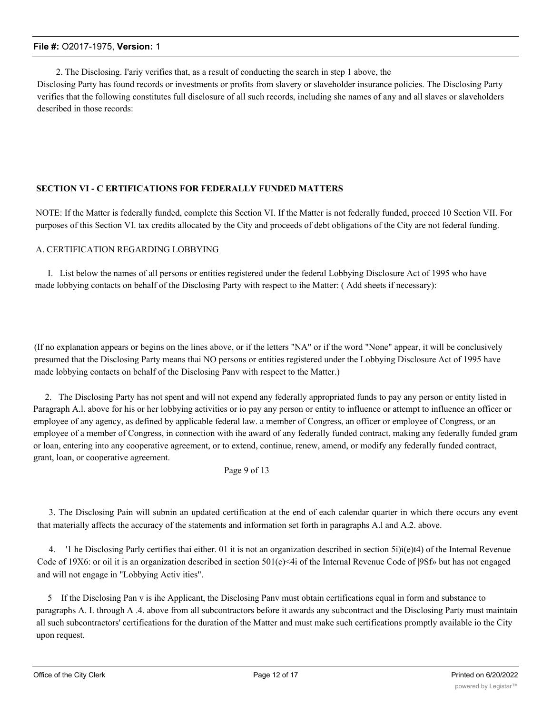2. The Disclosing. I'ariy verifies that, as a result of conducting the search in step 1 above, the

Disclosing Party has found records or investments or profits from slavery or slaveholder insurance policies. The Disclosing Party verifies that the following constitutes full disclosure of all such records, including she names of any and all slaves or slaveholders described in those records:

# **SECTION VI - C ERTIFICATIONS FOR FEDERALLY FUNDED MATTERS**

NOTE: If the Matter is federally funded, complete this Section VI. If the Matter is not federally funded, proceed 10 Section VII. For purposes of this Section VI. tax credits allocated by the City and proceeds of debt obligations of the City are not federal funding.

#### A. CERTIFICATION REGARDING LOBBYING

I. List below the names of all persons or entities registered under the federal Lobbying Disclosure Act of 1995 who have made lobbying contacts on behalf of the Disclosing Party with respect to ihe Matter: ( Add sheets if necessary):

(If no explanation appears or begins on the lines above, or if the letters "NA" or if the word "None" appear, it will be conclusively presumed that the Disclosing Party means thai NO persons or entities registered under the Lobbying Disclosure Act of 1995 have made lobbying contacts on behalf of the Disclosing Panv with respect to the Matter.)

2. The Disclosing Party has not spent and will not expend any federally appropriated funds to pay any person or entity listed in Paragraph A.l. above for his or her lobbying activities or io pay any person or entity to influence or attempt to influence an officer or employee of any agency, as defined by applicable federal law. a member of Congress, an officer or employee of Congress, or an employee of a member of Congress, in connection with ihe award of any federally funded contract, making any federally funded gram or loan, entering into any cooperative agreement, or to extend, continue, renew, amend, or modify any federally funded contract, grant, loan, or cooperative agreement.

#### Page 9 of 13

3. The Disclosing Pain will subnin an updated certification at the end of each calendar quarter in which there occurs any event that materially affects the accuracy of the statements and information set forth in paragraphs A.l and A.2. above.

4. '1 he Disclosing Parly certifies thai either. 01 it is not an organization described in section 5i)i(e)t4) of the Internal Revenue Code of 19X6: or oil it is an organization described in section  $501(c)$  <4i of the Internal Revenue Code of  $|9Sf$ » but has not engaged and will not engage in "Lobbying Activ ities".

5 If the Disclosing Pan v is ihe Applicant, the Disclosing Panv must obtain certifications equal in form and substance to paragraphs A. I. through A .4. above from all subcontractors before it awards any subcontract and the Disclosing Party must maintain all such subcontractors' certifications for the duration of the Matter and must make such certifications promptly available io the City upon request.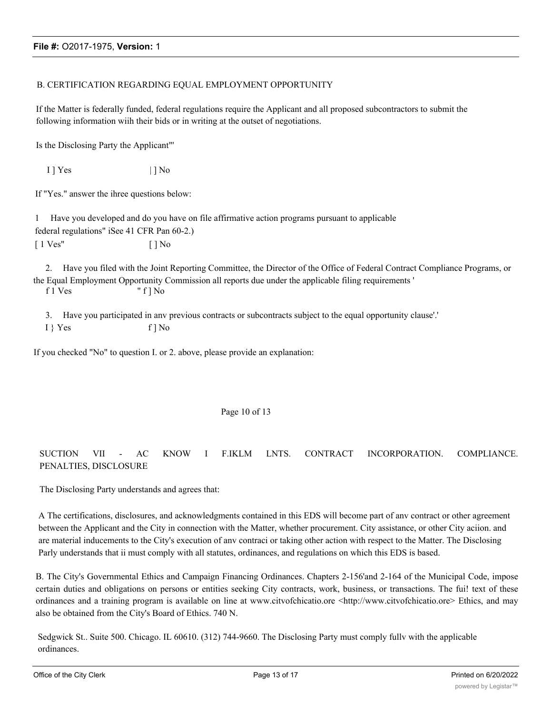### B. CERTIFICATION REGARDING EQUAL EMPLOYMENT OPPORTUNITY

If the Matter is federally funded, federal regulations require the Applicant and all proposed subcontractors to submit the following information wiih their bids or in writing at the outset of negotiations.

Is the Disclosing Party the Applicant"'

 $1$  | Yes | | No

If "Yes." answer the ihree questions below:

1 Have you developed and do you have on file affirmative action programs pursuant to applicable federal regulations" iSee 41 CFR Pan 60-2.)  $\lceil 1 \text{ Ves}^n \rceil$   $\lceil \cdot \rceil$  No

2. Have you filed with the Joint Reporting Committee, the Director of the Office of Federal Contract Compliance Programs, or the Equal Employment Opportunity Commission all reports due under the applicable filing requirements ' f 1 Ves " f ] No

- 3. Have you participated in anv previous contracts or subcontracts subject to the equal opportunity clause'.'
- I } Yes f ] No

If you checked "No" to question I. or 2. above, please provide an explanation:

#### Page 10 of 13

# SUCTION VII - AC KNOW I F.IKLM LNTS. CONTRACT INCORPORATION. COMPLIANCE. PENALTIES, DISCLOSURE

The Disclosing Party understands and agrees that:

A The certifications, disclosures, and acknowledgments contained in this EDS will become part of anv contract or other agreement between the Applicant and the City in connection with the Matter, whether procurement. City assistance, or other City aciion. and are material inducements to the City's execution of anv contraci or taking other action with respect to the Matter. The Disclosing Parly understands that ii must comply with all statutes, ordinances, and regulations on which this EDS is based.

B. The City's Governmental Ethics and Campaign Financing Ordinances. Chapters 2-156'and 2-164 of the Municipal Code, impose certain duties and obligations on persons or entities seeking City contracts, work, business, or transactions. The fui! text of these ordinances and a training program is available on line at www.citvofchicatio.ore <http://www.citvofchicatio.ore> Ethics, and may also be obtained from the City's Board of Ethics. 740 N.

Sedgwick St.. Suite 500. Chicago. IL 60610. (312) 744-9660. The Disclosing Party must comply fullv with the applicable ordinances.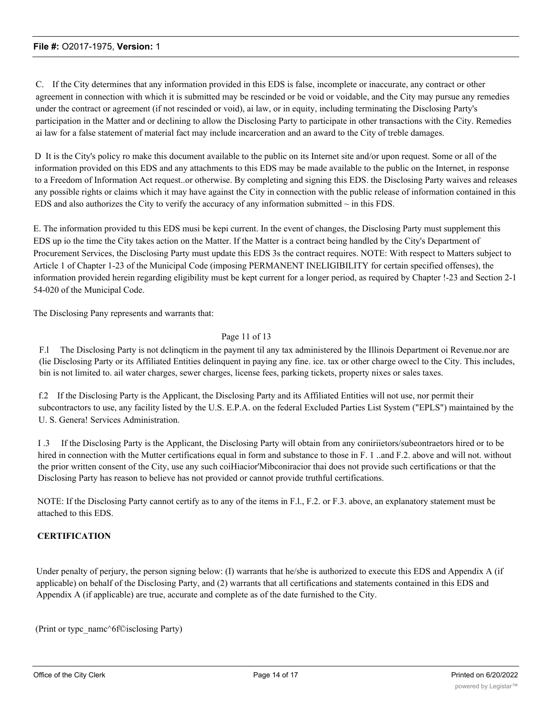C. If the City determines that any information provided in this EDS is false, incomplete or inaccurate, any contract or other agreement in connection with which it is submitted may be rescinded or be void or voidable, and the City may pursue any remedies under the contract or agreement (if not rescinded or void), ai law, or in equity, including terminating the Disclosing Party's participation in the Matter and or declining to allow the Disclosing Party to participate in other transactions with the City. Remedies ai law for a false statement of material fact may include incarceration and an award to the City of treble damages.

D It is the City's policy ro make this document available to the public on its Internet site and/or upon request. Some or all of the information provided on this EDS and any attachments to this EDS may be made available to the public on the Internet, in response to a Freedom of Information Act request..or otherwise. By completing and signing this EDS. the Disclosing Party waives and releases any possible rights or claims which it may have against the City in connection with the public release of information contained in this EDS and also authorizes the City to verify the accuracy of any information submitted  $\sim$  in this FDS.

E. The information provided tu this EDS musi be kepi current. In the event of changes, the Disclosing Party must supplement this EDS up io the time the City takes action on the Matter. If the Matter is a contract being handled by the City's Department of Procurement Services, the Disclosing Party must update this EDS 3s the contract requires. NOTE: With respect to Matters subject to Article 1 of Chapter 1-23 of the Municipal Code (imposing PERMANENT INELIGIBILITY for certain specified offenses), the information provided herein regarding eligibility must be kept current for a longer period, as required by Chapter !-23 and Section 2-1 54-020 of the Municipal Code.

The Disclosing Pany represents and warrants that:

### Page 11 of 13

F.l The Disclosing Party is not dclinqticm in the payment til any tax administered by the Illinois Department oi Revenue.nor are (lie Disclosing Party or its Affiliated Entities delinquent in paying any fine. ice. tax or other charge owecl to the City. This includes, bin is not limited to. ail water charges, sewer charges, license fees, parking tickets, property nixes or sales taxes.

f.2 If the Disclosing Party is the Applicant, the Disclosing Party and its Affiliated Entities will not use, nor permit their subcontractors to use, any facility listed by the U.S. E.P.A. on the federal Excluded Parties List System ("EPLS") maintained by the U. S. Genera! Services Administration.

I .3 If the Disclosing Party is the Applicant, the Disclosing Party will obtain from any coniriietors/subeontraetors hired or to be hired in connection with the Mutter certifications equal in form and substance to those in F. 1 ..and F.2. above and will not. without the prior written consent of the City, use any such coiHiacior'Mibconiracior thai does not provide such certifications or that the Disclosing Party has reason to believe has not provided or cannot provide truthful certifications.

NOTE: If the Disclosing Party cannot certify as to any of the items in F.l., F.2. or F.3. above, an explanatory statement must be attached to this EDS.

#### **CERTIFICATION**

Under penalty of perjury, the person signing below: (I) warrants that he/she is authorized to execute this EDS and Appendix A (if applicable) on behalf of the Disclosing Party, and (2) warrants that all certifications and statements contained in this EDS and Appendix A (if applicable) are true, accurate and complete as of the date furnished to the City.

(Print or typc\_namc^6f©isclosing Party)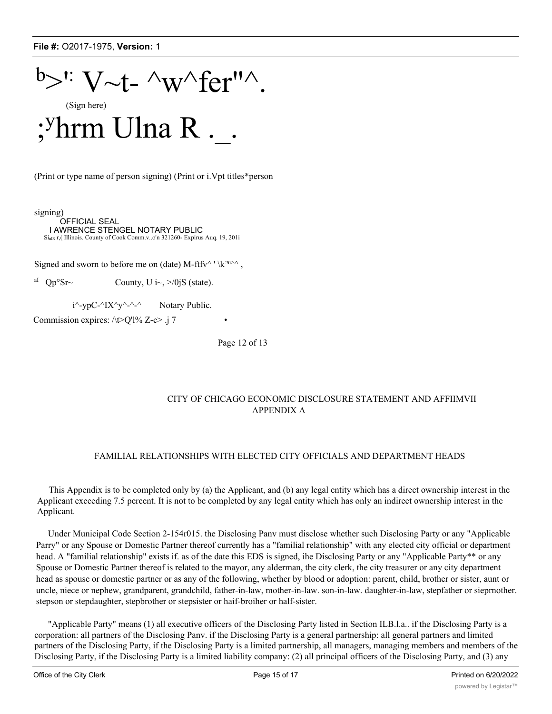

(Print or type name of person signing) (Print or i.Vpt titles\*person

signing) OFFICIAL SEAL I AWRENCE STENGEL NOTARY PUBLIC SinlR r,( Illinois. County of Cook Comm.v..o'n 321260- Expirus Auq. 19, 201i

Signed and sworn to before me on (date) M-ftfv^ ' \k<sup>:ru>^</sup>,

<sup>aI</sup> Qp<sup>o</sup>Sr~ County, U i~, >/0jS (state).

 $i^{\wedge}$ -ypC- $\wedge$ IX $\wedge$ y $\wedge$ - $\wedge$  Notary Public.

Commission expires:  $\triangle$ t $\triangleright$ Q'l% Z-c $\triangleright$  .j 7

Page 12 of 13

### CITY OF CHICAGO ECONOMIC DISCLOSURE STATEMENT AND AFFIIMVII APPENDIX A

#### FAMILIAL RELATIONSHIPS WITH ELECTED CITY OFFICIALS AND DEPARTMENT HEADS

This Appendix is to be completed only by (a) the Applicant, and (b) any legal entity which has a direct ownership interest in the Applicant exceeding 7.5 percent. It is not to be completed by any legal entity which has only an indirect ownership interest in the Applicant.

Under Municipal Code Section 2-154r015. the Disclosing Panv must disclose whether such Disclosing Party or any "Applicable Parry" or any Spouse or Domestic Partner thereof currently has a "familial relationship" with any elected city official or department head. A "familial relationship" exists if, as of the date this EDS is signed, ihe Disclosing Party or any "Applicable Party\*\* or any Spouse or Domestic Partner thereof is related to the mayor, any alderman, the city clerk, the city treasurer or any city department head as spouse or domestic partner or as any of the following, whether by blood or adoption: parent, child, brother or sister, aunt or uncle, niece or nephew, grandparent, grandchild, father-in-law, mother-in-law. son-in-law. daughter-in-law, stepfather or sieprnother. stepson or stepdaughter, stepbrother or stepsister or haif-broiher or half-sister.

"Applicable Party" means (1) all executive officers of the Disclosing Party listed in Section ILB.l.a.. if the Disclosing Party is a corporation: all partners of the Disclosing Panv. if the Disclosing Party is a general partnership: all general partners and limited partners of the Disclosing Party, if the Disclosing Party is a limited partnership, all managers, managing members and members of the Disclosing Party, if the Disclosing Party is a limited liability company: (2) all principal officers of the Disclosing Party, and (3) any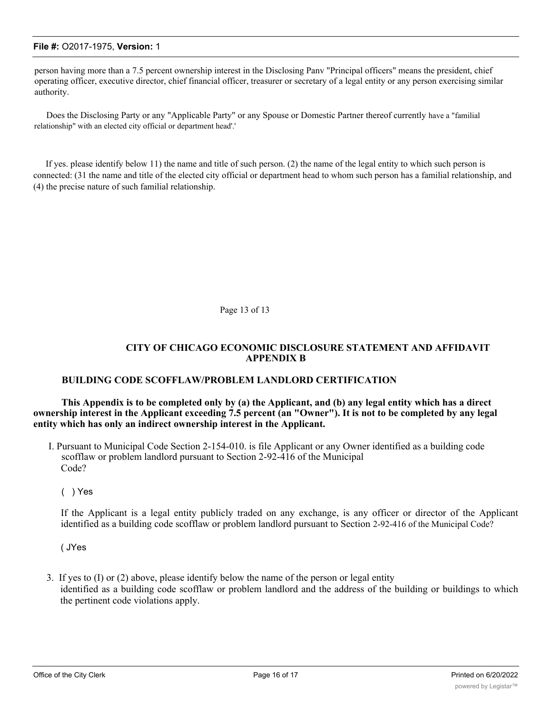person having more than a 7.5 percent ownership interest in the Disclosing Panv "Principal officers" means the president, chief operating officer, executive director, chief financial officer, treasurer or secretary of a legal entity or any person exercising similar authority.

Does the Disclosing Party or any "Applicable Party" or any Spouse or Domestic Partner thereof currently have a "familial relationship" with an elected city official or department head'.'

If yes. please identify below 11) the name and title of such person. (2) the name of the legal entity to which such person is connected: (31 the name and title of the elected city official or department head to whom such person has a familial relationship, and (4) the precise nature of such familial relationship.

Page 13 of 13

## **CITY OF CHICAGO ECONOMIC DISCLOSURE STATEMENT AND AFFIDAVIT APPENDIX B**

# **BUILDING CODE SCOFFLAW/PROBLEM LANDLORD CERTIFICATION**

**This Appendix is to be completed only by (a) the Applicant, and (b) any legal entity which has a direct ownership interest in the Applicant exceeding 7.5 percent (an "Owner"). It is not to be completed by any legal entity which has only an indirect ownership interest in the Applicant.**

I. Pursuant to Municipal Code Section 2-154-010. is file Applicant or any Owner identified as a building code scofflaw or problem landlord pursuant to Section 2-92-416 of the Municipal Code?

( ) Yes

If the Applicant is a legal entity publicly traded on any exchange, is any officer or director of the Applicant identified as a building code scofflaw or problem landlord pursuant to Section 2-92-416 of the Municipal Code?

( JYes

3. If yes to (I) or (2) above, please identify below the name of the person or legal entity identified as a building code scofflaw or problem landlord and the address of the building or buildings to which the pertinent code violations apply.